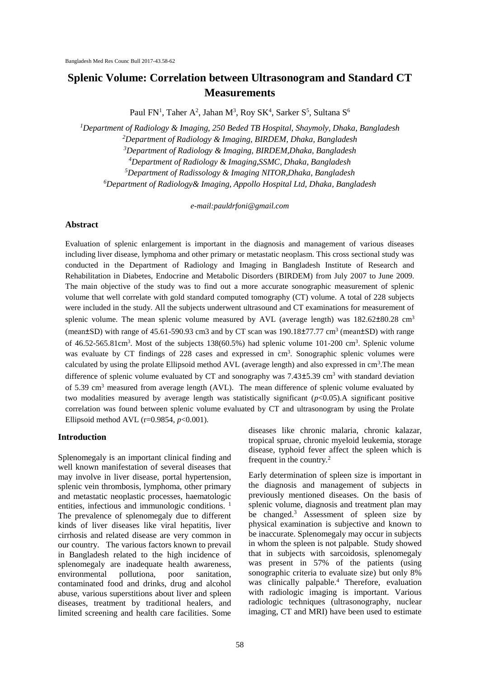# **Splenic Volume: Correlation between Ultrasonogram and Standard CT Measurements**

Paul FN<sup>1</sup>, Taher A<sup>2</sup>, Jahan M<sup>3</sup>, Roy SK<sup>4</sup>, Sarker S<sup>5</sup>, Sultana S<sup>6</sup>

*Department of Radiology & Imaging, 250 Beded TB Hospital, Shaymoly, Dhaka, Bangladesh Department of Radiology & Imaging, BIRDEM, Dhaka, Bangladesh Department of Radiology & Imaging, BIRDEM,Dhaka, Bangladesh Department of Radiology & Imaging,SSMC, Dhaka, Bangladesh Department of Radissology & Imaging NITOR,Dhaka, Bangladesh Department of Radiology& Imaging, Appollo Hospital Ltd, Dhaka, Bangladesh*

*e-mail:pauldrfoni@gmail.com*

#### **Abstract**

Evaluation of splenic enlargement is important in the diagnosis and management of various diseases including liver disease, lymphoma and other primary or metastatic neoplasm. This cross sectional study was conducted in the Department of Radiology and Imaging in Bangladesh Institute of Research and Rehabilitation in Diabetes, Endocrine and Metabolic Disorders (BIRDEM) from July 2007 to June 2009. The main objective of the study was to find out a more accurate sonographic measurement of splenic volume that well correlate with gold standard computed tomography (CT) volume. A total of 228 subjects were included in the study. All the subjects underwent ultrasound and CT examinations for measurement of splenic volume. The mean splenic volume measured by AVL (average length) was  $182.62\pm80.28$  cm<sup>3</sup> (mean $\pm$ SD) with range of 45.61-590.93 cm3 and by CT scan was 190.18 $\pm$ 77.77 cm<sup>3</sup> (mean $\pm$ SD) with range of 46.52-565.81cm<sup>3</sup>. Most of the subjects 138(60.5%) had splenic volume 101-200 cm<sup>3</sup>. Splenic volume was evaluate by CT findings of 228 cases and expressed in cm<sup>3</sup>. Sonographic splenic volumes were calculated by using the prolate Ellipsoid method AVL (average length) and also expressed in  $cm<sup>3</sup>$ . The mean difference of splenic volume evaluated by CT and sonography was  $7.43\pm5.39$  cm<sup>3</sup> with standard deviation of 5.39 cm<sup>3</sup> measured from average length (AVL). The mean difference of splenic volume evaluated by two modalities measured by average length was statistically significant (*p*<0.05).A significant positive correlation was found between splenic volume evaluated by CT and ultrasonogram by using the Prolate Ellipsoid method AVL  $(r=0.9854, p<0.001)$ .

#### **Introduction**

Splenomegaly is an important clinical finding and well known manifestation of several diseases that may involve in liver disease, portal hypertension, splenic vein thrombosis, lymphoma, other primary and metastatic neoplastic processes, haematologic entities, infectious and immunologic conditions.<sup>1</sup> The prevalence of splenomegaly due to different kinds of liver diseases like viral hepatitis, liver cirrhosis and related disease are very common in our country. The various factors known to prevail in Bangladesh related to the high incidence of splenomegaly are inadequate health awareness, environmental pollutiona, poor sanitation, contaminated food and drinks, drug and alcohol abuse, various superstitions about liver and spleen diseases, treatment by traditional healers, and limited screening and health care facilities. Some diseases like chronic malaria, chronic kalazar, tropical spruae, chronic myeloid leukemia, storage disease, typhoid fever affect the spleen which is frequent in the country*.* 2

Early determination of spleen size is important in the diagnosis and management of subjects in previously mentioned diseases. On the basis of splenic volume, diagnosis and treatment plan may be changed.<sup>3</sup> Assessment of spleen size by physical examination is subjective and known to be inaccurate. Splenomegaly may occur in subjects in whom the spleen is not palpable. Study showed that in subjects with sarcoidosis, splenomegaly was present in 57% of the patients (using sonographic criteria to evaluate size) but only 8% was clinically palpable.<sup>4</sup> Therefore, evaluation with radiologic imaging is important. Various radiologic techniques (ultrasonography, nuclear imaging, CT and MRI) have been used to estimate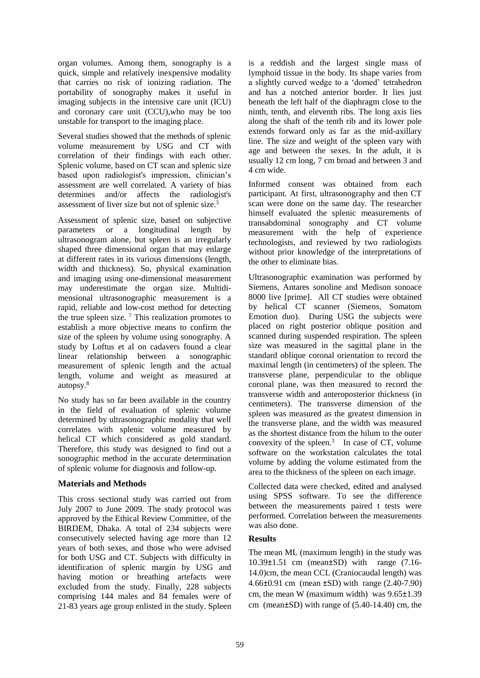organ volumes. Among them, sonography is a quick, simple and relatively inexpensive modality that carries no risk of ionizing radiation. The portability of sonography makes it useful in imaging subjects in the intensive care unit (ICU) and coronary care unit (CCU),who may be too unstable for transport to the imaging place.

Several studies showed that the methods of splenic volume measurement by USG and CT with correlation of their findings with each other. Splenic volume, based on CT scan and splenic size based upon radiologist's impression, clinician's assessment are well correlated. A variety of bias determines and/or affects the radiologist's assessment of liver size but not of splenic size.<sup>5</sup>

Assessment of splenic size, based on subjective parameters or a longitudinal length by ultrasonogram alone, but spleen is an irregularly shaped three dimensional organ that may enlarge at different rates in its various dimensions (length, width and thickness). So, physical examination and imaging using one-dimensional measurement may underestimate the organ size. Multidimensional ultrasonographic measurement is a rapid, reliable and low-cost method for detecting the true spleen size. <sup>7</sup> This realization promotes to establish a more objective means to confirm the size of the spleen by volume using sonography. A study by Loftus et al on cadavers found a clear linear relationship between a sonographic measurement of splenic length and the actual length, volume and weight as measured at autopsy.<sup>8</sup>

No study has so far been available in the country in the field of evaluation of splenic volume determined by ultrasonographic modality that well correlates with splenic volume measured by helical CT which considered as gold standard. Therefore, this study was designed to find out a sonographic method in the accurate determination of splenic volume for diagnosis and follow-up.

#### **Materials and Methods**

This cross sectional study was carried out from July 2007 to June 2009. The study protocol was approved by the Ethical Review Committee, of the BIRDEM, Dhaka. A total of 234 subjects were consecutively selected having age more than 12 years of both sexes, and those who were advised for both USG and CT. Subjects with difficulty in identification of splenic margin by USG and having motion or breathing artefacts were excluded from the study. Finally, 228 subjects comprising 144 males and 84 females were of 21-83 years age group enlisted in the study. Spleen is a reddish and the largest single mass of lymphoid tissue in the body. Its shape varies from a slightly curved wedge to a 'domed' tetrahedron and has a notched anterior border. It lies just beneath the left half of the diaphragm close to the ninth, tenth, and eleventh ribs. The long axis lies along the shaft of the tenth rib and its lower pole extends forward only as far as the mid-axillary line. The size and weight of the spleen vary with age and between the sexes. In the adult, it is usually 12 cm long, 7 cm broad and between 3 and 4 cm wide.

Informed consent was obtained from each participant. At first, ultrasonography and then CT scan were done on the same day. The researcher himself evaluated the splenic measurements of transabdominal sonography and CT volume measurement with the help of experience technologists, and reviewed by two radiologists without prior knowledge of the interpretations of the other to eliminate bias.

Ultrasonographic examination was performed by Siemens, Antares sonoline and Medison sonoace 8000 live [prime]. All CT studies were obtained by helical CT scanner (Siemens, Somatom Emotion duo). During USG the subjects were placed on right posterior oblique position and scanned during suspended respiration. The spleen size was measured in the sagittal plane in the standard oblique coronal orientation to record the maximal length (in centimeters) of the spleen. The transverse plane, perpendicular to the oblique coronal plane, was then measured to record the transverse width and anteroposterior thickness (in centimeters). The transverse dimension of the spleen was measured as the greatest dimension in the transverse plane, and the width was measured as the shortest distance from the hilum to the outer convexity of the spleen. $3$  In case of CT, volume software on the workstation calculates the total volume by adding the volume estimated from the area to the thickness of the spleen on each image.

Collected data were checked, edited and analysed using SPSS software. To see the difference between the measurements paired t tests were performed. Correlation between the measurements was also done.

## **Results**

The mean ML (maximum length) in the study was 10.39±1.51 cm (mean±SD) with range (7.16- 14.0)cm, the mean CCL (Craniocaudal length) was 4.66±0.91 cm (mean ±SD) with range (2.40-7.90) cm, the mean W (maximum width) was 9.65±1.39 cm (mean±SD) with range of (5.40-14.40) cm, the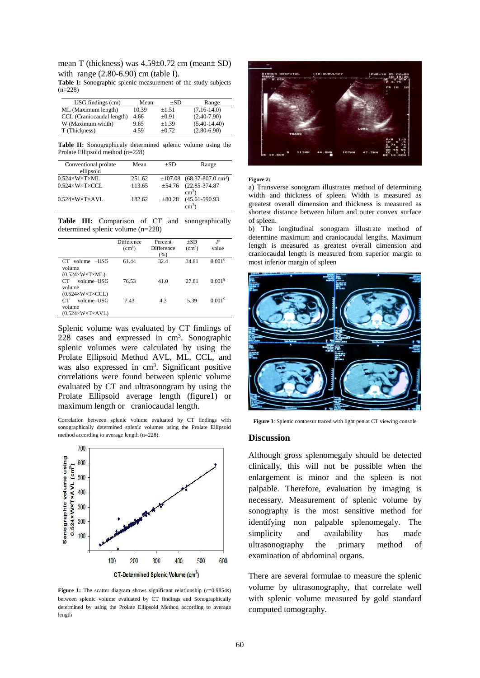mean T (thickness) was 4.59±0.72 cm (mean± SD) with range (2.80-6.90) cm (table I).

**Table I:** Sonographic splenic measurement of the study subjects  $(n=228)$ 

| USG findings (cm)         | Mean  | $+SD$      | Range           |
|---------------------------|-------|------------|-----------------|
| ML (Maximum length)       | 10.39 | $\pm 1.51$ | $(7.16-14.0)$   |
| CCL (Craniocaudal length) | 4.66  | $+0.91$    | $(2.40 - 7.90)$ |
| W (Maximum width)         | 9.65  | $+1.39$    | $(5.40-14.40)$  |
| T (Thickness)             | 4.59  | $+0.72$    | $(2.80 - 6.90)$ |

**Table II:** Sonographicaly determined splenic volume using the Prolate Ellipsoid method (n=228)

| Conventional prolate                 | Mean   | $+SD$       | Range                                       |  |
|--------------------------------------|--------|-------------|---------------------------------------------|--|
| ellipsoid                            |        |             |                                             |  |
| $0.524 \times W \times T \times ML$  | 251.62 |             | $\pm 107.08$ (68.37-807.0 cm <sup>3</sup> ) |  |
| $0.524\times W\times T\times CCL$    | 113.65 | $\pm$ 54.76 | $(22.85 - 374.87)$                          |  |
|                                      |        |             | $\text{cm}^3$ )                             |  |
| $0.524 \times W \times T \times AVL$ | 182.62 | $\pm 80.28$ | $(45.61 - 590.93)$                          |  |
|                                      |        |             | $\text{cm}^3$                               |  |

Table III: Comparison of CT and sonographically determined splenic volume (n=228)

|                                                                       | Difference<br>(cm <sup>3</sup> ) | Percent<br><b>Difference</b><br>(%) | $+SD$<br>(cm <sup>3</sup> ) | P<br>value         |
|-----------------------------------------------------------------------|----------------------------------|-------------------------------------|-----------------------------|--------------------|
| volume $-JISG$<br>CT.<br>volume<br>$(0.524\times W\times T\times ML)$ | 61.44                            | 32.4                                | 34.81                       | 0.001 <sup>s</sup> |
| volume-USG<br>CT<br>volume<br>$(0.524\times W\times T\times CCL)$     | 76.53                            | 41.0                                | 27.81                       | 0.001 <sup>s</sup> |
| volume-USG<br>CT<br>volume<br>$(0.524\times W\times T\times AVL)$     | 7.43                             | 4.3                                 | 5.39                        | 0.001 <sup>s</sup> |

Splenic volume was evaluated by CT findings of 228 cases and expressed in cm<sup>3</sup>. Sonographic splenic volumes were calculated by using the Prolate Ellipsoid Method AVL, ML, CCL, and was also expressed in cm<sup>3</sup>. Significant positive correlations were found between splenic volume evaluated by CT and ultrasonogram by using the Prolate Ellipsoid average length (figure1) or maximum length or craniocaudal length.

Correlation between splenic volume evaluated by CT findings with sonographically determined splenic volumes using the Prolate Ellipsoid method according to average length (n=228).



Figure 1: The scatter diagram shows significant relationship ( $r=0.9854s$ ) between splenic volume evaluated by CT findings and sonographically determined by using the Prolate Ellipsoid Method according to average length



#### **Figure 2:**

a) Transverse sonogram illustrates method of determining width and thickness of spleen. Width is measured as greatest overall dimension and thickness is measured as shortest distance between hilum and outer convex surface of spleen.

b) The longitudinal sonogram illustrate method of determine maximum and craniocaudal lengths. Maximum length is measured as greatest overall dimension and craniocaudal length is measured from superior margin to most inferior margin of spleen



**Figure 3**: Splenic contossur traced with light pen at CT viewing console

#### **Discussion**

Although gross splenomegaly should be detected clinically, this will not be possible when the enlargement is minor and the spleen is not palpable. Therefore, evaluation by imaging is necessary. Measurement of splenic volume by sonography is the most sensitive method for identifying non palpable splenomegaly. The simplicity and availability has made ultrasonography the primary method of examination of abdominal organs.

There are several formulae to measure the splenic volume by ultrasonography, that correlate well with splenic volume measured by gold standard computed tomography.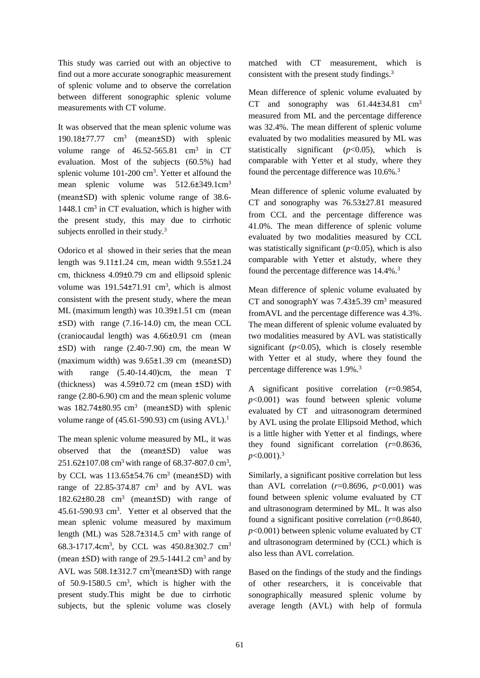This study was carried out with an objective to find out a more accurate sonographic measurement of splenic volume and to observe the correlation between different sonographic splenic volume measurements with CT volume.

It was observed that the mean splenic volume was 190.18±77.77 cm<sup>3</sup> (mean±SD) with splenic volume range of  $46.52 - 565.81$  cm<sup>3</sup> in CT evaluation. Most of the subjects (60.5%) had splenic volume 101-200 cm<sup>3</sup>. Yetter et alfound the mean splenic volume was 512.6±349.1cm<sup>3</sup> (mean±SD) with splenic volume range of 38.6- 1448.1 cm<sup>3</sup> in CT evaluation, which is higher with the present study, this may due to cirrhotic subjects enrolled in their study.<sup>3</sup>

Odorico et al showed in their series that the mean length was 9.11±1.24 cm, mean width 9.55±1.24 cm, thickness 4.09±0.79 cm and ellipsoid splenic volume was  $191.54 \pm 71.91$  cm<sup>3</sup>, which is almost consistent with the present study, where the mean ML (maximum length) was 10.39±1.51 cm (mean ±SD) with range (7.16-14.0) cm, the mean CCL (craniocaudal length) was 4.66±0.91 cm (mean ±SD) with range (2.40-7.90) cm, the mean W (maximum width) was 9.65±1.39 cm (mean±SD) with range  $(5.40-14.40)$ cm, the mean T (thickness) was  $4.59\pm0.72$  cm (mean  $\pm$ SD) with range (2.80-6.90) cm and the mean splenic volume was  $182.74 \pm 80.95$  cm<sup>3</sup> (mean $\pm$ SD) with splenic volume range of  $(45.61-590.93)$  cm (using AVL).<sup>1</sup>

The mean splenic volume measured by ML, it was observed that the (mean±SD) value was 251.62±107.08 cm<sup>3</sup> with range of 68.37-807.0 cm<sup>3</sup>, by CCL was  $113.65 \pm 54.76$  cm<sup>3</sup> (mean $\pm$ SD) with range of  $22.85 - 374.87$  cm<sup>3</sup> and by AVL was 182.62±80.28 cm<sup>3</sup> (mean±SD) with range of 45.61-590.93 cm<sup>3</sup> . Yetter et al observed that the mean splenic volume measured by maximum length (ML) was  $528.7\pm314.5$  cm<sup>3</sup> with range of 68.3-1717.4cm<sup>3</sup>, by CCL was 450.8±302.7 cm<sup>3</sup> (mean  $\pm$ SD) with range of 29.5-1441.2 cm<sup>3</sup> and by AVL was  $508.1\pm312.7$  cm<sup>3</sup>(mean $\pm$ SD) with range of 50.9-1580.5 cm<sup>3</sup> , which is higher with the present study.This might be due to cirrhotic subjects, but the splenic volume was closely

matched with CT measurement, which is consistent with the present study findings.<sup>3</sup>

Mean difference of splenic volume evaluated by CT and sonography was  $61.44\pm34.81$  cm<sup>3</sup> measured from ML and the percentage difference was 32.4%. The mean different of splenic volume evaluated by two modalities measured by ML was statistically significant  $(p<0.05)$ , which is comparable with Yetter et al study, where they found the percentage difference was 10.6%.<sup>3</sup>

Mean difference of splenic volume evaluated by CT and sonography was 76.53±27.81 measured from CCL and the percentage difference was 41.0%. The mean difference of splenic volume evaluated by two modalities measured by CCL was statistically significant  $(p<0.05)$ , which is also comparable with Yetter et alstudy, where they found the percentage difference was 14.4%.<sup>3</sup>

Mean difference of splenic volume evaluated by CT and sonographY was  $7.43\pm5.39$  cm<sup>3</sup> measured fromAVL and the percentage difference was 4.3%. The mean different of splenic volume evaluated by two modalities measured by AVL was statistically significant  $(p<0.05)$ , which is closely resemble with Yetter et al study, where they found the percentage difference was 1.9%.<sup>3</sup>

A significant positive correlation (*r*=0.9854, *p*<0.001) was found between splenic volume evaluated by CT and uitrasonogram determined by AVL using the prolate Ellipsoid Method, which is a little higher with Yetter et al findings, where they found significant correlation (*r*=0.8636, *p*<0.001).<sup>3</sup>

Similarly, a significant positive correlation but less than AVL correlation  $(r=0.8696, p<0.001)$  was found between splenic volume evaluated by CT and ultrasonogram determined by ML. It was also found a significant positive correlation (*r*=0.8640, *p*<0.001) between splenic volume evaluated by CT and ultrasonogram determined by (CCL) which is also less than AVL correlation.

Based on the findings of the study and the findings of other researchers, it is conceivable that sonographically measured splenic volume by average length (AVL) with help of formula